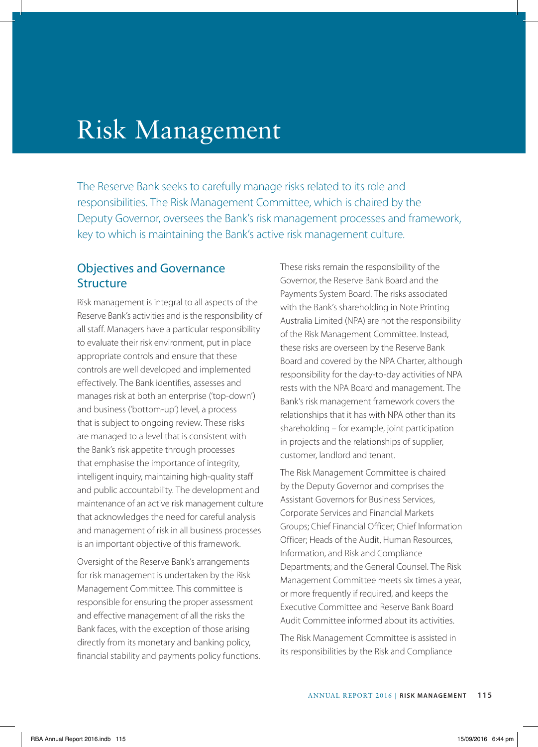# Risk Management

The Reserve Bank seeks to carefully manage risks related to its role and responsibilities. The Risk Management Committee, which is chaired by the Deputy Governor, oversees the Bank's risk management processes and framework, key to which is maintaining the Bank's active risk management culture.

# Objectives and Governance **Structure**

Risk management is integral to all aspects of the Reserve Bank's activities and is the responsibility of all staff. Managers have a particular responsibility to evaluate their risk environment, put in place appropriate controls and ensure that these controls are well developed and implemented effectively. The Bank identifies, assesses and manages risk at both an enterprise ('top-down') and business ('bottom-up') level, a process that is subject to ongoing review. These risks are managed to a level that is consistent with the Bank's risk appetite through processes that emphasise the importance of integrity, intelligent inquiry, maintaining high-quality staff and public accountability. The development and maintenance of an active risk management culture that acknowledges the need for careful analysis and management of risk in all business processes is an important objective of this framework.

Oversight of the Reserve Bank's arrangements for risk management is undertaken by the Risk Management Committee. This committee is responsible for ensuring the proper assessment and effective management of all the risks the Bank faces, with the exception of those arising directly from its monetary and banking policy, financial stability and payments policy functions. These risks remain the responsibility of the Governor, the Reserve Bank Board and the Payments System Board. The risks associated with the Bank's shareholding in Note Printing Australia Limited (NPA) are not the responsibility of the Risk Management Committee. Instead, these risks are overseen by the Reserve Bank Board and covered by the NPA Charter, although responsibility for the day-to-day activities of NPA rests with the NPA Board and management. The Bank's risk management framework covers the relationships that it has with NPA other than its shareholding – for example, joint participation in projects and the relationships of supplier, customer, landlord and tenant.

The Risk Management Committee is chaired by the Deputy Governor and comprises the Assistant Governors for Business Services, Corporate Services and Financial Markets Groups; Chief Financial Officer; Chief Information Officer; Heads of the Audit, Human Resources, Information, and Risk and Compliance Departments; and the General Counsel. The Risk Management Committee meets six times a year, or more frequently if required, and keeps the Executive Committee and Reserve Bank Board Audit Committee informed about its activities.

The Risk Management Committee is assisted in its responsibilities by the Risk and Compliance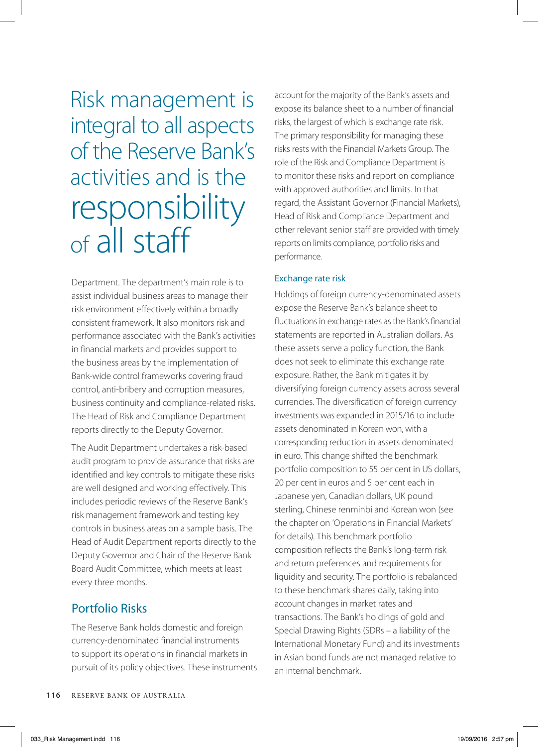Risk management is integral to all aspects of the Reserve Bank's activities and is the responsibility of all staff

Department. The department's main role is to assist individual business areas to manage their risk environment effectively within a broadly consistent framework. It also monitors risk and performance associated with the Bank's activities in financial markets and provides support to the business areas by the implementation of Bank-wide control frameworks covering fraud control, anti-bribery and corruption measures, business continuity and compliance-related risks. The Head of Risk and Compliance Department reports directly to the Deputy Governor.

The Audit Department undertakes a risk-based audit program to provide assurance that risks are identified and key controls to mitigate these risks are well designed and working effectively. This includes periodic reviews of the Reserve Bank's risk management framework and testing key controls in business areas on a sample basis. The Head of Audit Department reports directly to the Deputy Governor and Chair of the Reserve Bank Board Audit Committee, which meets at least every three months.

# Portfolio Risks

The Reserve Bank holds domestic and foreign currency-denominated financial instruments to support its operations in financial markets in pursuit of its policy objectives. These instruments account for the majority of the Bank's assets and expose its balance sheet to a number of financial risks, the largest of which is exchange rate risk. The primary responsibility for managing these risks rests with the Financial Markets Group. The role of the Risk and Compliance Department is to monitor these risks and report on compliance with approved authorities and limits. In that regard, the Assistant Governor (Financial Markets), Head of Risk and Compliance Department and other relevant senior staff are provided with timely reports on limits compliance, portfolio risks and performance.

#### Exchange rate risk

Holdings of foreign currency-denominated assets expose the Reserve Bank's balance sheet to fluctuations in exchange rates as the Bank's financial statements are reported in Australian dollars. As these assets serve a policy function, the Bank does not seek to eliminate this exchange rate exposure. Rather, the Bank mitigates it by diversifying foreign currency assets across several currencies. The diversification of foreign currency investments was expanded in 2015/16 to include assets denominated in Korean won, with a corresponding reduction in assets denominated in euro. This change shifted the benchmark portfolio composition to 55 per cent in US dollars, 20 per cent in euros and 5 per cent each in Japanese yen, Canadian dollars, UK pound sterling, Chinese renminbi and Korean won (see the chapter on 'Operations in Financial Markets' for details). This benchmark portfolio composition reflects the Bank's long-term risk and return preferences and requirements for liquidity and security. The portfolio is rebalanced to these benchmark shares daily, taking into account changes in market rates and transactions. The Bank's holdings of gold and Special Drawing Rights (SDRs – a liability of the International Monetary Fund) and its investments in Asian bond funds are not managed relative to an internal benchmark.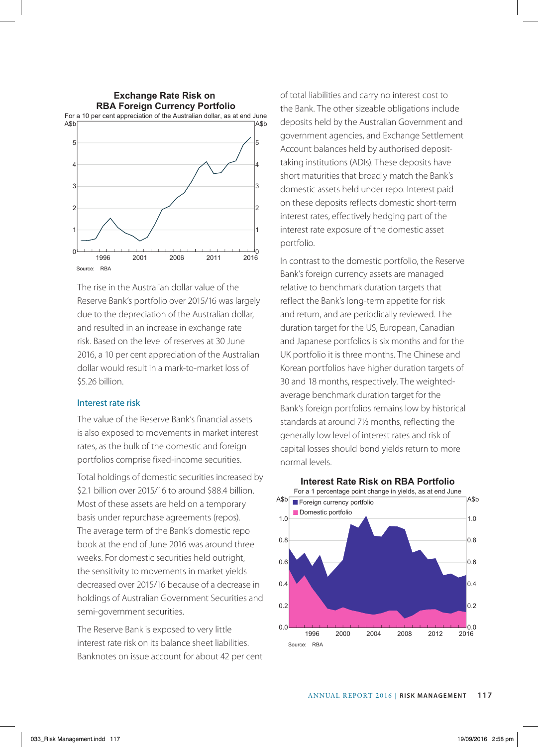

The rise in the Australian dollar value of the Reserve Bank's portfolio over 2015/16 was largely due to the depreciation of the Australian dollar, and resulted in an increase in exchange rate risk. Based on the level of reserves at 30 June 2016, a 10 per cent appreciation of the Australian dollar would result in a mark-to-market loss of \$5.26 billion.

#### Interest rate risk

The value of the Reserve Bank's financial assets is also exposed to movements in market interest rates, as the bulk of the domestic and foreign portfolios comprise fixed-income securities.

Total holdings of domestic securities increased by \$2.1 billion over 2015/16 to around \$88.4 billion. Most of these assets are held on a temporary basis under repurchase agreements (repos). The average term of the Bank's domestic repo book at the end of June 2016 was around three weeks. For domestic securities held outright, the sensitivity to movements in market yields decreased over 2015/16 because of a decrease in holdings of Australian Government Securities and semi-government securities.

The Reserve Bank is exposed to very little interest rate risk on its balance sheet liabilities. Banknotes on issue account for about 42 per cent of total liabilities and carry no interest cost to the Bank. The other sizeable obligations include deposits held by the Australian Government and government agencies, and Exchange Settlement Account balances held by authorised deposittaking institutions (ADIs). These deposits have short maturities that broadly match the Bank's domestic assets held under repo. Interest paid on these deposits reflects domestic short-term interest rates, effectively hedging part of the interest rate exposure of the domestic asset portfolio.

In contrast to the domestic portfolio, the Reserve Bank's foreign currency assets are managed relative to benchmark duration targets that reflect the Bank's long-term appetite for risk and return, and are periodically reviewed. The duration target for the US, European, Canadian and Japanese portfolios is six months and for the UK portfolio it is three months. The Chinese and Korean portfolios have higher duration targets of 30 and 18 months, respectively. The weightedaverage benchmark duration target for the Bank's foreign portfolios remains low by historical standards at around 7½ months, reflecting the generally low level of interest rates and risk of capital losses should bond yields return to more normal levels.



# **Interest Rate Risk on RBA Portfolio**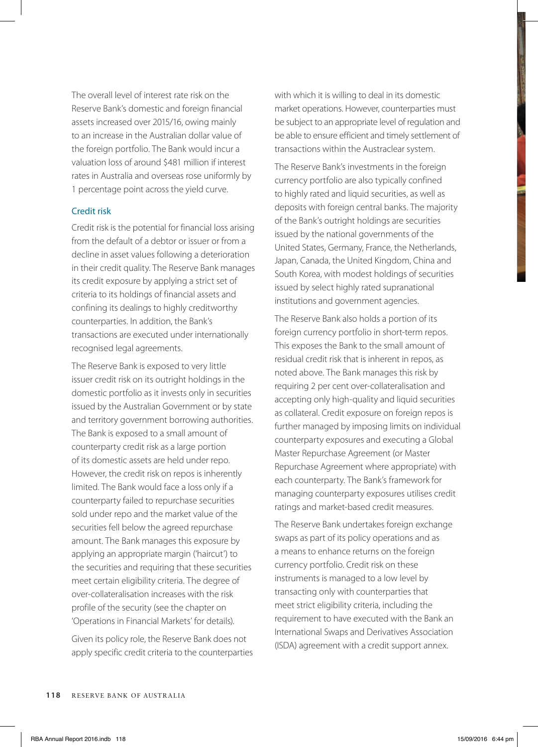The overall level of interest rate risk on the Reserve Bank's domestic and foreign financial assets increased over 2015/16, owing mainly to an increase in the Australian dollar value of the foreign portfolio. The Bank would incur a valuation loss of around \$481 million if interest rates in Australia and overseas rose uniformly by 1 percentage point across the yield curve.

#### Credit risk

Credit risk is the potential for financial loss arising from the default of a debtor or issuer or from a decline in asset values following a deterioration in their credit quality. The Reserve Bank manages its credit exposure by applying a strict set of criteria to its holdings of financial assets and confining its dealings to highly creditworthy counterparties. In addition, the Bank's transactions are executed under internationally recognised legal agreements.

The Reserve Bank is exposed to very little issuer credit risk on its outright holdings in the domestic portfolio as it invests only in securities issued by the Australian Government or by state and territory government borrowing authorities. The Bank is exposed to a small amount of counterparty credit risk as a large portion of its domestic assets are held under repo. However, the credit risk on repos is inherently limited. The Bank would face a loss only if a counterparty failed to repurchase securities sold under repo and the market value of the securities fell below the agreed repurchase amount. The Bank manages this exposure by applying an appropriate margin ('haircut') to the securities and requiring that these securities meet certain eligibility criteria. The degree of over-collateralisation increases with the risk profile of the security (see the chapter on 'Operations in Financial Markets' for details).

Given its policy role, the Reserve Bank does not apply specific credit criteria to the counterparties with which it is willing to deal in its domestic market operations. However, counterparties must be subject to an appropriate level of regulation and be able to ensure efficient and timely settlement of transactions within the Austraclear system.

The Reserve Bank's investments in the foreign currency portfolio are also typically confined to highly rated and liquid securities, as well as deposits with foreign central banks. The majority of the Bank's outright holdings are securities issued by the national governments of the United States, Germany, France, the Netherlands, Japan, Canada, the United Kingdom, China and South Korea, with modest holdings of securities issued by select highly rated supranational institutions and government agencies.

The Reserve Bank also holds a portion of its foreign currency portfolio in short-term repos. This exposes the Bank to the small amount of residual credit risk that is inherent in repos, as noted above. The Bank manages this risk by requiring 2 per cent over-collateralisation and accepting only high-quality and liquid securities as collateral. Credit exposure on foreign repos is further managed by imposing limits on individual counterparty exposures and executing a Global Master Repurchase Agreement (or Master Repurchase Agreement where appropriate) with each counterparty. The Bank's framework for managing counterparty exposures utilises credit ratings and market-based credit measures.

The Reserve Bank undertakes foreign exchange swaps as part of its policy operations and as a means to enhance returns on the foreign currency portfolio. Credit risk on these instruments is managed to a low level by transacting only with counterparties that meet strict eligibility criteria, including the requirement to have executed with the Bank an International Swaps and Derivatives Association (ISDA) agreement with a credit support annex.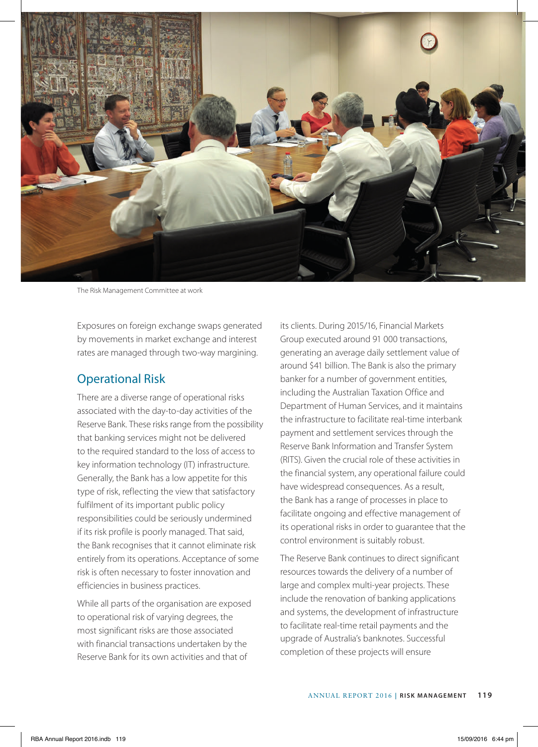

The Risk Management Committee at work

Exposures on foreign exchange swaps generated by movements in market exchange and interest rates are managed through two-way margining.

### Operational Risk

There are a diverse range of operational risks associated with the day-to-day activities of the Reserve Bank. These risks range from the possibility that banking services might not be delivered to the required standard to the loss of access to key information technology (IT) infrastructure. Generally, the Bank has a low appetite for this type of risk, reflecting the view that satisfactory fulfilment of its important public policy responsibilities could be seriously undermined if its risk profile is poorly managed. That said, the Bank recognises that it cannot eliminate risk entirely from its operations. Acceptance of some risk is often necessary to foster innovation and efficiencies in business practices.

While all parts of the organisation are exposed to operational risk of varying degrees, the most significant risks are those associated with financial transactions undertaken by the Reserve Bank for its own activities and that of

its clients. During 2015/16, Financial Markets Group executed around 91 000 transactions, generating an average daily settlement value of around \$41 billion. The Bank is also the primary banker for a number of government entities, including the Australian Taxation Office and Department of Human Services, and it maintains the infrastructure to facilitate real-time interbank payment and settlement services through the Reserve Bank Information and Transfer System (RITS). Given the crucial role of these activities in the financial system, any operational failure could have widespread consequences. As a result, the Bank has a range of processes in place to facilitate ongoing and effective management of its operational risks in order to guarantee that the control environment is suitably robust.

The Reserve Bank continues to direct significant resources towards the delivery of a number of large and complex multi-year projects. These include the renovation of banking applications and systems, the development of infrastructure to facilitate real-time retail payments and the upgrade of Australia's banknotes. Successful completion of these projects will ensure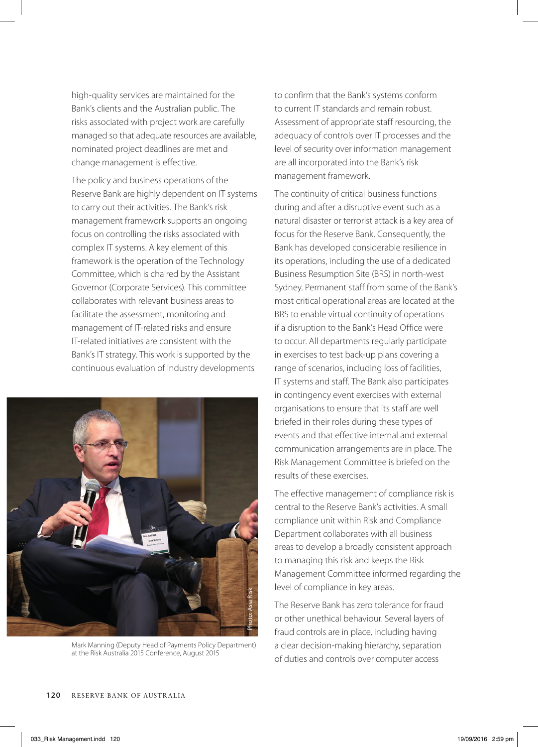high-quality services are maintained for the Bank's clients and the Australian public. The risks associated with project work are carefully managed so that adequate resources are available, nominated project deadlines are met and change management is effective.

The policy and business operations of the Reserve Bank are highly dependent on IT systems to carry out their activities. The Bank's risk management framework supports an ongoing focus on controlling the risks associated with complex IT systems. A key element of this framework is the operation of the Technology Committee, which is chaired by the Assistant Governor (Corporate Services). This committee collaborates with relevant business areas to facilitate the assessment, monitoring and management of IT-related risks and ensure IT-related initiatives are consistent with the Bank's IT strategy. This work is supported by the continuous evaluation of industry developments



Mark Manning (Deputy Head of Payments Policy Department) at the Risk Australia 2015 Conference, August 2015

to confirm that the Bank's systems conform to current IT standards and remain robust. Assessment of appropriate staff resourcing, the adequacy of controls over IT processes and the level of security over information management are all incorporated into the Bank's risk management framework.

The continuity of critical business functions during and after a disruptive event such as a natural disaster or terrorist attack is a key area of focus for the Reserve Bank. Consequently, the Bank has developed considerable resilience in its operations, including the use of a dedicated Business Resumption Site (BRS) in north-west Sydney. Permanent staff from some of the Bank's most critical operational areas are located at the BRS to enable virtual continuity of operations if a disruption to the Bank's Head Office were to occur. All departments regularly participate in exercises to test back-up plans covering a range of scenarios, including loss of facilities, IT systems and staff. The Bank also participates in contingency event exercises with external organisations to ensure that its staff are well briefed in their roles during these types of events and that effective internal and external communication arrangements are in place. The Risk Management Committee is briefed on the results of these exercises.

The effective management of compliance risk is central to the Reserve Bank's activities. A small compliance unit within Risk and Compliance Department collaborates with all business areas to develop a broadly consistent approach to managing this risk and keeps the Risk Management Committee informed regarding the level of compliance in key areas.

The Reserve Bank has zero tolerance for fraud or other unethical behaviour. Several layers of fraud controls are in place, including having a clear decision-making hierarchy, separation of duties and controls over computer access